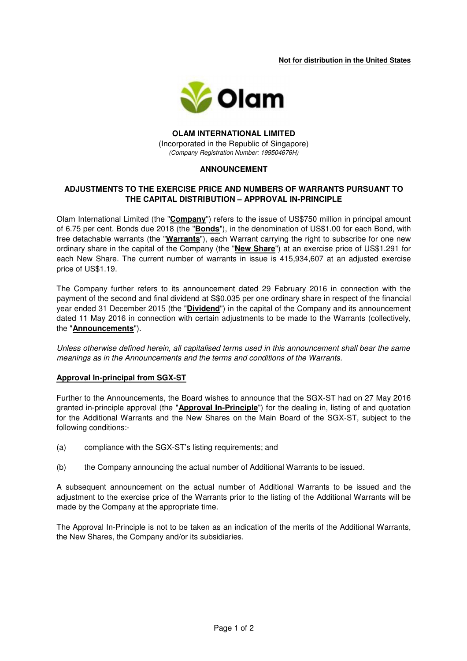**Not for distribution in the United States** 



#### **OLAM INTERNATIONAL LIMITED**  (Incorporated in the Republic of Singapore) (Company Registration Number: 199504676H)

# **ANNOUNCEMENT**

# **ADJUSTMENTS TO THE EXERCISE PRICE AND NUMBERS OF WARRANTS PURSUANT TO THE CAPITAL DISTRIBUTION – APPROVAL IN-PRINCIPLE**

Olam International Limited (the "**Company**") refers to the issue of US\$750 million in principal amount of 6.75 per cent. Bonds due 2018 (the "**Bonds**"), in the denomination of US\$1.00 for each Bond, with free detachable warrants (the "**Warrants**"), each Warrant carrying the right to subscribe for one new ordinary share in the capital of the Company (the "**New Share**") at an exercise price of US\$1.291 for each New Share. The current number of warrants in issue is 415,934,607 at an adjusted exercise price of US\$1.19.

The Company further refers to its announcement dated 29 February 2016 in connection with the payment of the second and final dividend at S\$0.035 per one ordinary share in respect of the financial year ended 31 December 2015 (the "**Dividend**") in the capital of the Company and its announcement dated 11 May 2016 in connection with certain adjustments to be made to the Warrants (collectively, the "**Announcements**").

Unless otherwise defined herein, all capitalised terms used in this announcement shall bear the same meanings as in the Announcements and the terms and conditions of the Warrants.

#### **Approval In-principal from SGX-ST**

Further to the Announcements, the Board wishes to announce that the SGX-ST had on 27 May 2016 granted in-principle approval (the "**Approval In-Principle**") for the dealing in, listing of and quotation for the Additional Warrants and the New Shares on the Main Board of the SGX-ST, subject to the following conditions:-

- (a) compliance with the SGX-ST's listing requirements; and
- (b) the Company announcing the actual number of Additional Warrants to be issued.

A subsequent announcement on the actual number of Additional Warrants to be issued and the adjustment to the exercise price of the Warrants prior to the listing of the Additional Warrants will be made by the Company at the appropriate time.

The Approval In-Principle is not to be taken as an indication of the merits of the Additional Warrants, the New Shares, the Company and/or its subsidiaries.